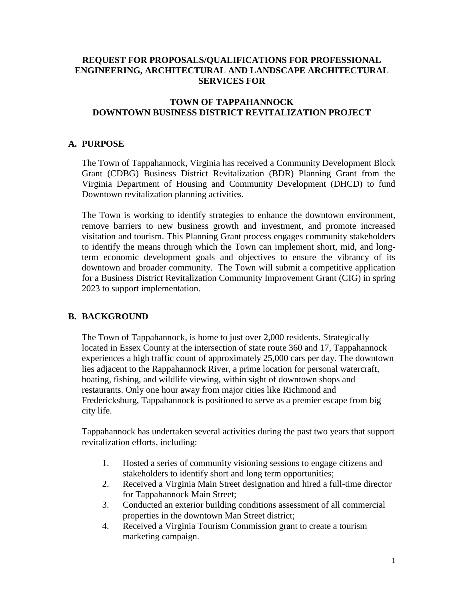# **REQUEST FOR PROPOSALS/QUALIFICATIONS FOR PROFESSIONAL ENGINEERING, ARCHITECTURAL AND LANDSCAPE ARCHITECTURAL SERVICES FOR**

## **TOWN OF TAPPAHANNOCK DOWNTOWN BUSINESS DISTRICT REVITALIZATION PROJECT**

## **A. PURPOSE**

The Town of Tappahannock, Virginia has received a Community Development Block Grant (CDBG) Business District Revitalization (BDR) Planning Grant from the Virginia Department of Housing and Community Development (DHCD) to fund Downtown revitalization planning activities.

The Town is working to identify strategies to enhance the downtown environment, remove barriers to new business growth and investment, and promote increased visitation and tourism. This Planning Grant process engages community stakeholders to identify the means through which the Town can implement short, mid, and longterm economic development goals and objectives to ensure the vibrancy of its downtown and broader community. The Town will submit a competitive application for a Business District Revitalization Community Improvement Grant (CIG) in spring 2023 to support implementation.

### **B. BACKGROUND**

The Town of Tappahannock, is home to just over 2,000 residents. Strategically located in Essex County at the intersection of state route 360 and 17, Tappahannock experiences a high traffic count of approximately 25,000 cars per day. The downtown lies adjacent to the Rappahannock River, a prime location for personal watercraft, boating, fishing, and wildlife viewing, within sight of downtown shops and restaurants. Only one hour away from major cities like Richmond and Fredericksburg, Tappahannock is positioned to serve as a premier escape from big city life.

Tappahannock has undertaken several activities during the past two years that support revitalization efforts, including:

- 1. Hosted a series of community visioning sessions to engage citizens and stakeholders to identify short and long term opportunities;
- 2. Received a Virginia Main Street designation and hired a full-time director for Tappahannock Main Street;
- 3. Conducted an exterior building conditions assessment of all commercial properties in the downtown Man Street district;
- 4. Received a Virginia Tourism Commission grant to create a tourism marketing campaign.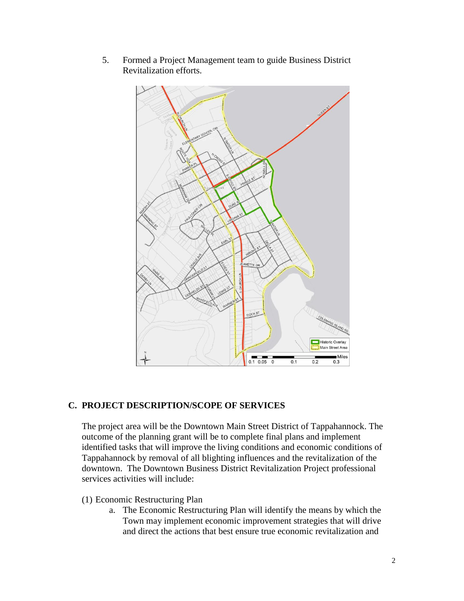

5. Formed a Project Management team to guide Business District Revitalization efforts.

### **C. PROJECT DESCRIPTION/SCOPE OF SERVICES**

The project area will be the Downtown Main Street District of Tappahannock. The outcome of the planning grant will be to complete final plans and implement identified tasks that will improve the living conditions and economic conditions of Tappahannock by removal of all blighting influences and the revitalization of the downtown. The Downtown Business District Revitalization Project professional services activities will include:

- (1) Economic Restructuring Plan
	- a. The Economic Restructuring Plan will identify the means by which the Town may implement economic improvement strategies that will drive and direct the actions that best ensure true economic revitalization and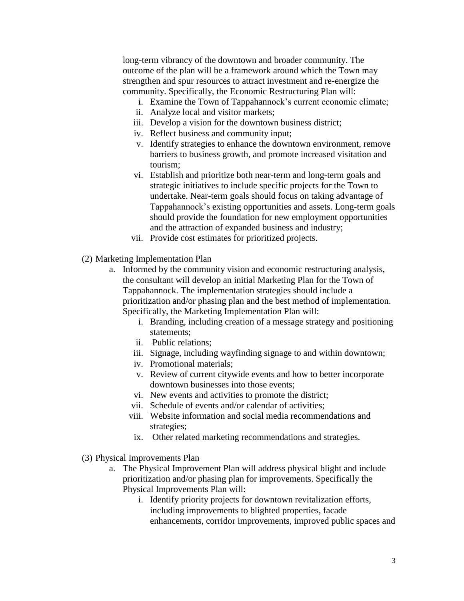long-term vibrancy of the downtown and broader community. The outcome of the plan will be a framework around which the Town may strengthen and spur resources to attract investment and re-energize the community. Specifically, the Economic Restructuring Plan will:

- i. Examine the Town of Tappahannock's current economic climate;
- ii. Analyze local and visitor markets;
- iii. Develop a vision for the downtown business district;
- iv. Reflect business and community input;
- v. Identify strategies to enhance the downtown environment, remove barriers to business growth, and promote increased visitation and tourism;
- vi. Establish and prioritize both near-term and long-term goals and strategic initiatives to include specific projects for the Town to undertake. Near-term goals should focus on taking advantage of Tappahannock's existing opportunities and assets. Long-term goals should provide the foundation for new employment opportunities and the attraction of expanded business and industry;
- vii. Provide cost estimates for prioritized projects.
- (2) Marketing Implementation Plan
	- a. Informed by the community vision and economic restructuring analysis, the consultant will develop an initial Marketing Plan for the Town of Tappahannock. The implementation strategies should include a prioritization and/or phasing plan and the best method of implementation. Specifically, the Marketing Implementation Plan will:
		- i. Branding, including creation of a message strategy and positioning statements;
		- ii. Public relations;
		- iii. Signage, including wayfinding signage to and within downtown;
		- iv. Promotional materials;
		- v. Review of current citywide events and how to better incorporate downtown businesses into those events;
		- vi. New events and activities to promote the district;
		- vii. Schedule of events and/or calendar of activities;
		- viii. Website information and social media recommendations and strategies;
		- ix. Other related marketing recommendations and strategies.
- (3) Physical Improvements Plan
	- a. The Physical Improvement Plan will address physical blight and include prioritization and/or phasing plan for improvements. Specifically the Physical Improvements Plan will:
		- i. Identify priority projects for downtown revitalization efforts, including improvements to blighted properties, facade enhancements, corridor improvements, improved public spaces and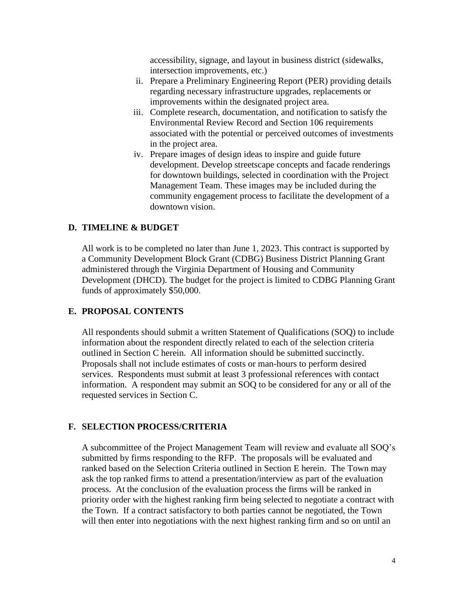accessibility, signage, and layout in business district (sidewalks, intersection improvements, etc.)

- ii. Prepare a Preliminary Engineering Report (PER) providing details regarding necessary infrastructure upgrades, replacements or improvements within the designated project area.
- iii. Complete research, documentation, and notification to satisfy the Environmental Review Record and Section 106 requirements associated with the potential or perceived outcomes of investments in the project area.
- iv. Prepare images of design ideas to inspire and guide future development. Develop streetscape concepts and facade renderings for downtown buildings, selected in coordination with the Project Management Team. These images may be included during the community engagement process to facilitate the development of a downtown vision.

#### **D. TIMELINE & BUDGET**

All work is to be completed no later than June 1, 2023. This contract is supported by a Community Development Block Grant (CDBG) Business District Planning Grant administered through the Virginia Department of Housing and Community Development (DHCD). The budget for the project is limited to CDBG Planning Grant funds of approximately \$50,000.

#### **E. PROPOSAL CONTENTS**

 All respondents should submit a written Statement of Qualifications (SOQ) to include information about the respondent directly related to each of the selection criteria outlined in Section C herein. All information should be submitted succinctly. Proposals shall not include estimates of costs or man-hours to perform desired services. Respondents must submit at least 3 professional references with contact information. A respondent may submit an SOQ to be considered for any or all of the requested services in Section C.

#### **F. SELECTION PROCESS/CRITERIA**

A subcommittee of the Project Management Team will review and evaluate all SOQ's submitted by firms responding to the RFP. The proposals will be evaluated and ranked based on the Selection Criteria outlined in Section E herein. The Town may ask the top ranked firms to attend a presentation/interview as part of the evaluation process. At the conclusion of the evaluation process the firms will be ranked in priority order with the highest ranking firm being selected to negotiate a contract with the Town. If a contract satisfactory to both parties cannot be negotiated, the Town will then enter into negotiations with the next highest ranking firm and so on until an